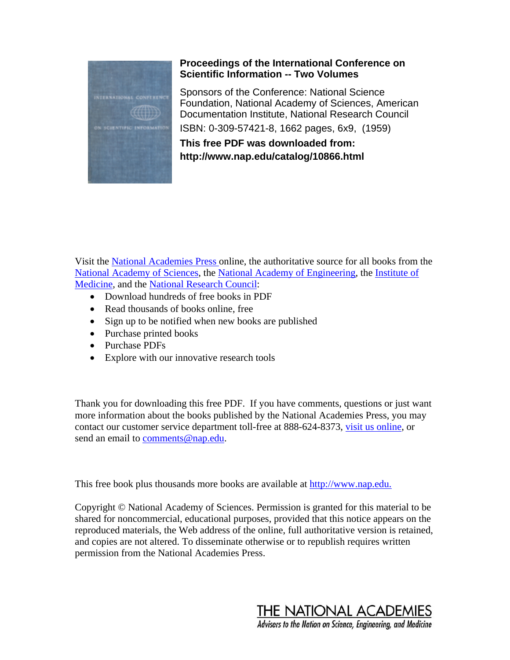

## **Proceedings of the International Conference on Scientific Information -- Two Volumes**

ISBN: 0-309-57421-8, 1662 pages, 6x9, (1959) Sponsors of the Conference: National Science Foundation, National Academy of Sciences, American Documentation Institute, National Research Council

**This free PDF was downloaded from: http://www.nap.edu/catalog/10866.html**

Visit the [National Academies Press o](http://www.nap.edu/)nline, the authoritative source for all books from the [National Academy of Sciences](http://www.nas.edu/nas), the [National Academy of Engineering,](http://www.nae.edu/) the [Institute of](http://www.iom.edu/) [Medicine](http://www.iom.edu/), and the [National Research Council:](http://www.nationalacademies.org/nrc)

- Download hundreds of free books in PDF
- Read thousands of books online, free
- Sign up to be notified when new books are published
- Purchase printed books
- Purchase PDFs
- Explore with our innovative research tools

Thank you for downloading this free PDF. If you have comments, questions or just want more information about the books published by the National Academies Press, you may contact our customer service department toll-free at 888-624-8373, [visit us online](http://www.nap.edu/), or send an email to [comments@nap.edu](mailto:comments@nap.edu).

This free book plus thousands more books are available at [http://www.nap.edu.](http://www.nap.edu./)

Copyright © National Academy of Sciences. Permission is granted for this material to be shared for noncommercial, educational purposes, provided that this notice appears on the reproduced materials, the Web address of the online, full authoritative version is retained, and copies are not altered. To disseminate otherwise or to republish requires written permission from the National Academies Press.

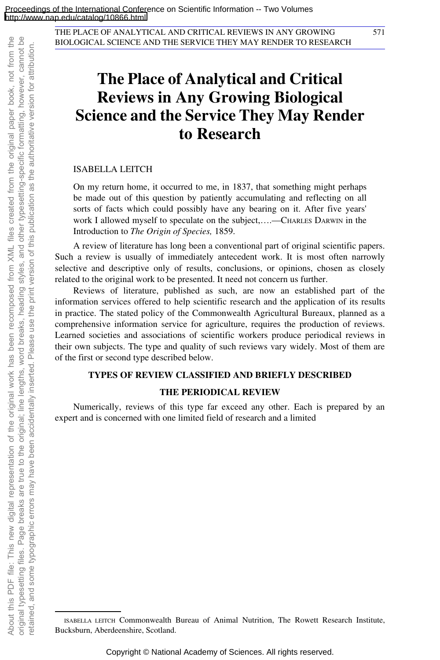# **The Place of Analytical and Critical Reviews in Any Growing Biological Science and the Service They May Render to Research**

ISABELLA LEITCH

On my return home, it occurred to me, in 1837, that something might perhaps be made out of this question by patiently accumulating and reflecting on all sorts of facts which could possibly have any bearing on it. After five years' work I allowed myself to speculate on the subject,....-CHARLES DARWIN in the Introduction to *The Origin of Species,* 1859.

A review of literature has long been a conventional part of original scientific papers. Such a review is usually of immediately antecedent work. It is most often narrowly selective and descriptive only of results, conclusions, or opinions, chosen as closely related to the original work to be presented. It need not concern us further.

Reviews of literature, published as such, are now an established part of the information services offered to help scientific research and the application of its results in practice. The stated policy of the Commonwealth Agricultural Bureaux, planned as a comprehensive information service for agriculture, requires the production of reviews. Learned societies and associations of scientific workers produce periodical reviews in their own subjects. The type and quality of such reviews vary widely. Most of them are of the first or second type described below.

#### **TYPES OF REVIEW CLASSIFIED AND BRIEFLY DESCRIBED**

#### **THE PERIODICAL REVIEW**

Numerically, reviews of this type far exceed any other. Each is prepared by an expert and is concerned with one limited field of research and a limited

ISABELLA LEITCH Commonwealth Bureau of Animal Nutrition, The Rowett Research Institute, Bucksburn, Aberdeenshire, Scotland.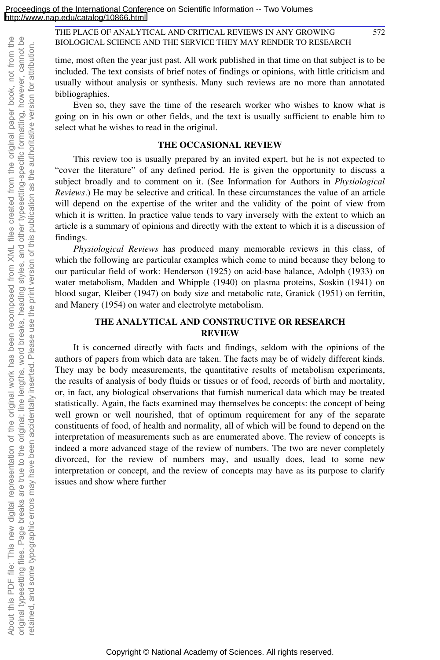572

time, most often the year just past. All work published in that time on that subject is to be included. The text consists of brief notes of findings or opinions, with little criticism and usually without analysis or synthesis. Many such reviews are no more than annotated bibliographies.

Even so, they save the time of the research worker who wishes to know what is going on in his own or other fields, and the text is usually sufficient to enable him to select what he wishes to read in the original.

#### **THE OCCASIONAL REVIEW**

This review too is usually prepared by an invited expert, but he is not expected to "cover the literature" of any defined period. He is given the opportunity to discuss a subject broadly and to comment on it. (See Information for Authors in *Physiological Reviews*.) He may be selective and critical. In these circumstances the value of an article will depend on the expertise of the writer and the validity of the point of view from which it is written. In practice value tends to vary inversely with the extent to which an article is a summary of opinions and directly with the extent to which it is a discussion of findings.

*Physiological Reviews* has produced many memorable reviews in this class, of which the following are particular examples which come to mind because they belong to our particular field of work: Henderson (1925) on acid-base balance, Adolph (1933) on water metabolism, Madden and Whipple (1940) on plasma proteins, Soskin (1941) on blood sugar, Kleiber (1947) on body size and metabolic rate, Granick (1951) on ferritin, and Manery (1954) on water and electrolyte metabolism.

### **THE ANALYTICAL AND CONSTRUCTIVE OR RESEARCH REVIEW**

About this PDF file: This new digital representation of the original work has been recomposed from XML files created from the original paper book, not from the original typesetting files. Page breaks are true to the original; line lengths, word breaks, heading styles, and other typesetting-specific formatting, however, cannot be retained, and some typographic errors may have been accidentally inserted. Please use the print version of this publication as the authoritative version for attribution.

About this PDF file: This new digital representation of the original work has been recomposed

etained, and some typographic errors may have been accidentally inserted. Please use the

from XML files created

original typesetting files. Page breaks are true to the original; line lengths, word breaks, heading styles, and other typesetting-specific formatting, however, cannot be

print version of this publication as the authoritative version for attribution

the

from the original paper book, not from

It is concerned directly with facts and findings, seldom with the opinions of the authors of papers from which data are taken. The facts may be of widely different kinds. They may be body measurements, the quantitative results of metabolism experiments, the results of analysis of body fluids or tissues or of food, records of birth and mortality, or, in fact, any biological observations that furnish numerical data which may be treated statistically. Again, the facts examined may themselves be concepts: the concept of being well grown or well nourished, that of optimum requirement for any of the separate constituents of food, of health and normality, all of which will be found to depend on the interpretation of measurements such as are enumerated above. The review of concepts is indeed a more advanced stage of the review of numbers. The two are never completely divorced, for the review of numbers may, and usually does, lead to some new interpretation or concept, and the review of concepts may have as its purpose to clarify issues and show where further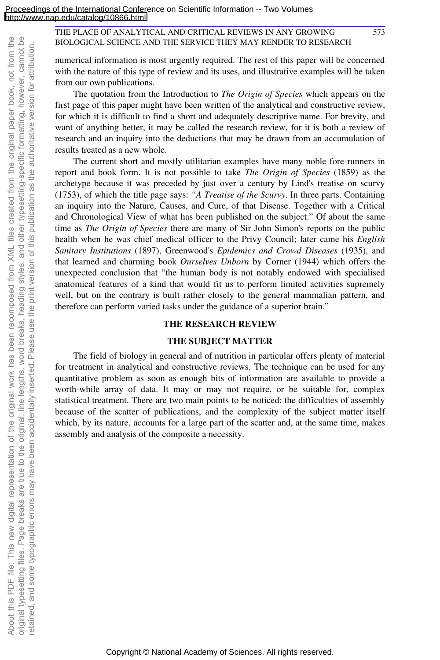numerical information is most urgently required. The rest of this paper will be concerned with the nature of this type of review and its uses, and illustrative examples will be taken from our own publications.

The quotation from the Introduction to *The Origin of Species* which appears on the first page of this paper might have been written of the analytical and constructive review, for which it is difficult to find a short and adequately descriptive name. For brevity, and want of anything better, it may be called the research review, for it is both a review of research and an inquiry into the deductions that may be drawn from an accumulation of results treated as a new whole.

The current short and mostly utilitarian examples have many noble fore-runners in report and book form. It is not possible to take *The Origin of Species* (1859) as the archetype because it was preceded by just over a century by Lind's treatise on scurvy (1753), of which the title page says: *"A Treatise of the Scurvy*. In three parts. Containing an inquiry into the Nature, Causes, and Cure, of that Disease. Together with a Critical and Chronological View of what has been published on the subject." Of about the same time as *The Origin of Species* there are many of Sir John Simon's reports on the public health when he was chief medical officer to the Privy Council; later came his *English Sanitary Institutions* (1897), Greenwood's *Epidemics and Crowd Diseases* (1935), and that learned and charming book *Ourselves Unborn* by Corner (1944) which offers the unexpected conclusion that "the human body is not notably endowed with specialised anatomical features of a kind that would fit us to perform limited activities supremely well, but on the contrary is built rather closely to the general mammalian pattern, and therefore can perform varied tasks under the guidance of a superior brain."

#### **THE RESEARCH REVIEW**

#### **THE SUBJECT MATTER**

The field of biology in general and of nutrition in particular offers plenty of material for treatment in analytical and constructive reviews. The technique can be used for any quantitative problem as soon as enough bits of information are available to provide a worth-while array of data. It may or may not require, or be suitable for, complex statistical treatment. There are two main points to be noticed: the difficulties of assembly because of the scatter of publications, and the complexity of the subject matter itself which, by its nature, accounts for a large part of the scatter and, at the same time, makes assembly and analysis of the composite a necessity.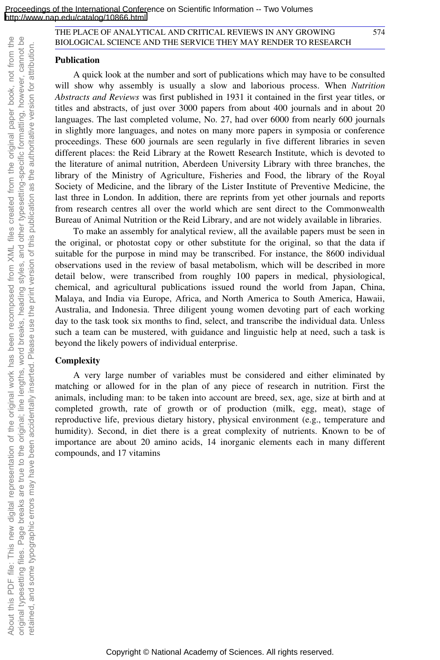#### **Publication**

A quick look at the number and sort of publications which may have to be consulted will show why assembly is usually a slow and laborious process. When *Nutrition Abstracts and Reviews* was first published in 1931 it contained in the first year titles, or titles and abstracts, of just over 3000 papers from about 400 journals and in about 20 languages. The last completed volume, No. 27, had over 6000 from nearly 600 journals in slightly more languages, and notes on many more papers in symposia or conference proceedings. These 600 journals are seen regularly in five different libraries in seven different places: the Reid Library at the Rowett Research Institute, which is devoted to the literature of animal nutrition, Aberdeen University Library with three branches, the library of the Ministry of Agriculture, Fisheries and Food, the library of the Royal Society of Medicine, and the library of the Lister Institute of Preventive Medicine, the last three in London. In addition, there are reprints from yet other journals and reports from research centres all over the world which are sent direct to the Commonwealth Bureau of Animal Nutrition or the Reid Library, and are not widely available in libraries.

To make an assembly for analytical review, all the available papers must be seen in the original, or photostat copy or other substitute for the original, so that the data if suitable for the purpose in mind may be transcribed. For instance, the 8600 individual observations used in the review of basal metabolism, which will be described in more detail below, were transcribed from roughly 100 papers in medical, physiological, chemical, and agricultural publications issued round the world from Japan, China, Malaya, and India via Europe, Africa, and North America to South America, Hawaii, Australia, and Indonesia. Three diligent young women devoting part of each working day to the task took six months to find, select, and transcribe the individual data. Unless such a team can be mustered, with guidance and linguistic help at need, such a task is beyond the likely powers of individual enterprise.

#### **Complexity**

A very large number of variables must be considered and either eliminated by matching or allowed for in the plan of any piece of research in nutrition. First the animals, including man: to be taken into account are breed, sex, age, size at birth and at completed growth, rate of growth or of production (milk, egg, meat), stage of reproductive life, previous dietary history, physical environment (e.g., temperature and humidity). Second, in diet there is a great complexity of nutrients. Known to be of importance are about 20 amino acids, 14 inorganic elements each in many different compounds, and 17 vitamins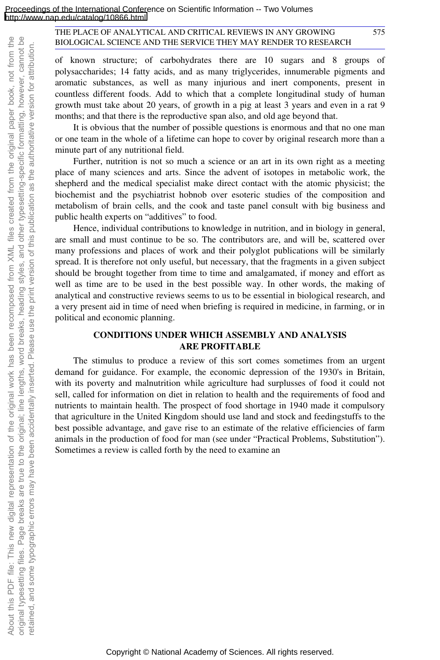of known structure; of carbohydrates there are 10 sugars and 8 groups of polysaccharides; 14 fatty acids, and as many triglycerides, innumerable pigments and aromatic substances, as well as many injurious and inert components, present in countless different foods. Add to which that a complete longitudinal study of human growth must take about 20 years, of growth in a pig at least 3 years and even in a rat 9 months; and that there is the reproductive span also, and old age beyond that.

It is obvious that the number of possible questions is enormous and that no one man or one team in the whole of a lifetime can hope to cover by original research more than a minute part of any nutritional field.

Further, nutrition is not so much a science or an art in its own right as a meeting place of many sciences and arts. Since the advent of isotopes in metabolic work, the shepherd and the medical specialist make direct contact with the atomic physicist; the biochemist and the psychiatrist hobnob over esoteric studies of the composition and metabolism of brain cells, and the cook and taste panel consult with big business and public health experts on "additives" to food.

Hence, individual contributions to knowledge in nutrition, and in biology in general, are small and must continue to be so. The contributors are, and will be, scattered over many professions and places of work and their polyglot publications will be similarly spread. It is therefore not only useful, but necessary, that the fragments in a given subject should be brought together from time to time and amalgamated, if money and effort as well as time are to be used in the best possible way. In other words, the making of analytical and constructive reviews seems to us to be essential in biological research, and a very present aid in time of need when briefing is required in medicine, in farming, or in political and economic planning.

#### **CONDITIONS UNDER WHICH ASSEMBLY AND ANALYSIS ARE PROFITABLE**

The stimulus to produce a review of this sort comes sometimes from an urgent demand for guidance. For example, the economic depression of the 1930's in Britain, with its poverty and malnutrition while agriculture had surplusses of food it could not sell, called for information on diet in relation to health and the requirements of food and nutrients to maintain health. The prospect of food shortage in 1940 made it compulsory that agriculture in the United Kingdom should use land and stock and feedingstuffs to the best possible advantage, and gave rise to an estimate of the relative efficiencies of farm animals in the production of food for man (see under "Practical Problems, Substitution"). Sometimes a review is called forth by the need to examine an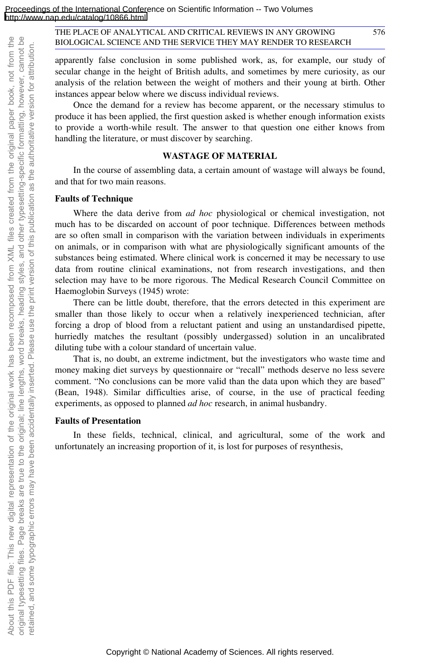apparently false conclusion in some published work, as, for example, our study of secular change in the height of British adults, and sometimes by mere curiosity, as our analysis of the relation between the weight of mothers and their young at birth. Other instances appear below where we discuss individual reviews.

Once the demand for a review has become apparent, or the necessary stimulus to produce it has been applied, the first question asked is whether enough information exists to provide a worth-while result. The answer to that question one either knows from handling the literature, or must discover by searching.

#### **WASTAGE OF MATERIAL**

In the course of assembling data, a certain amount of wastage will always be found, and that for two main reasons.

#### **Faults of Technique**

Where the data derive from *ad hoc* physiological or chemical investigation, not much has to be discarded on account of poor technique. Differences between methods are so often small in comparison with the variation between individuals in experiments on animals, or in comparison with what are physiologically significant amounts of the substances being estimated. Where clinical work is concerned it may be necessary to use data from routine clinical examinations, not from research investigations, and then selection may have to be more rigorous. The Medical Research Council Committee on Haemoglobin Surveys (1945) wrote:

There can be little doubt, therefore, that the errors detected in this experiment are smaller than those likely to occur when a relatively inexperienced technician, after forcing a drop of blood from a reluctant patient and using an unstandardised pipette, hurriedly matches the resultant (possibly undergassed) solution in an uncalibrated diluting tube with a colour standard of uncertain value.

That is, no doubt, an extreme indictment, but the investigators who waste time and money making diet surveys by questionnaire or "recall" methods deserve no less severe comment. "No conclusions can be more valid than the data upon which they are based" (Bean, 1948). Similar difficulties arise, of course, in the use of practical feeding experiments, as opposed to planned *ad hoc* research, in animal husbandry.

#### **Faults of Presentation**

In these fields, technical, clinical, and agricultural, some of the work and unfortunately an increasing proportion of it, is lost for purposes of resynthesis,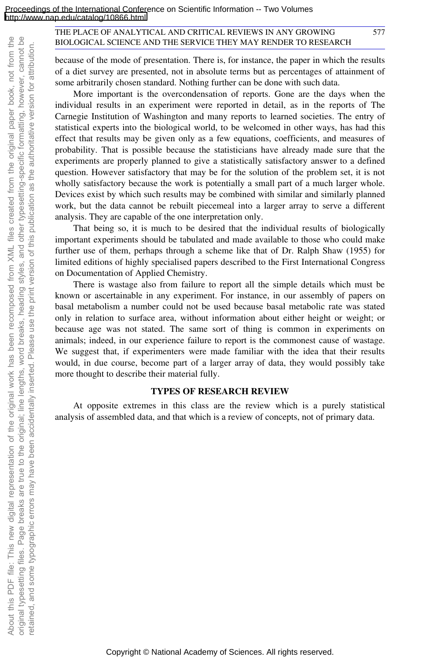because of the mode of presentation. There is, for instance, the paper in which the results of a diet survey are presented, not in absolute terms but as percentages of attainment of some arbitrarily chosen standard. Nothing further can be done with such data.

577

More important is the overcondensation of reports. Gone are the days when the individual results in an experiment were reported in detail, as in the reports of The Carnegie Institution of Washington and many reports to learned societies. The entry of statistical experts into the biological world, to be welcomed in other ways, has had this effect that results may be given only as a few equations, coefficients, and measures of probability. That is possible because the statisticians have already made sure that the experiments are properly planned to give a statistically satisfactory answer to a defined question. However satisfactory that may be for the solution of the problem set, it is not wholly satisfactory because the work is potentially a small part of a much larger whole. Devices exist by which such results may be combined with similar and similarly planned work, but the data cannot be rebuilt piecemeal into a larger array to serve a different analysis. They are capable of the one interpretation only.

That being so, it is much to be desired that the individual results of biologically important experiments should be tabulated and made available to those who could make further use of them, perhaps through a scheme like that of Dr. Ralph Shaw (1955) for limited editions of highly specialised papers described to the First International Congress on Documentation of Applied Chemistry.

There is wastage also from failure to report all the simple details which must be known or ascertainable in any experiment. For instance, in our assembly of papers on basal metabolism a number could not be used because basal metabolic rate was stated only in relation to surface area, without information about either height or weight; or because age was not stated. The same sort of thing is common in experiments on animals; indeed, in our experience failure to report is the commonest cause of wastage. We suggest that, if experimenters were made familiar with the idea that their results would, in due course, become part of a larger array of data, they would possibly take more thought to describe their material fully.

#### **TYPES OF RESEARCH REVIEW**

At opposite extremes in this class are the review which is a purely statistical analysis of assembled data, and that which is a review of concepts, not of primary data.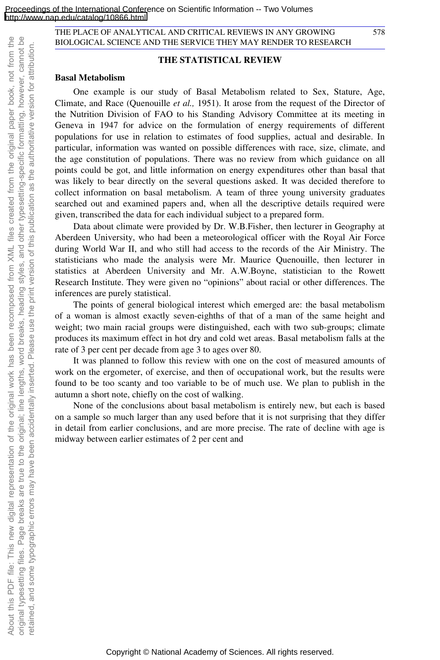#### **THE STATISTICAL REVIEW**

#### **Basal Metabolism**

One example is our study of Basal Metabolism related to Sex, Stature, Age, Climate, and Race (Quenouille *et al.,* 1951). It arose from the request of the Director of the Nutrition Division of FAO to his Standing Advisory Committee at its meeting in Geneva in 1947 for advice on the formulation of energy requirements of different populations for use in relation to estimates of food supplies, actual and desirable. In particular, information was wanted on possible differences with race, size, climate, and the age constitution of populations. There was no review from which guidance on all points could be got, and little information on energy expenditures other than basal that was likely to bear directly on the several questions asked. It was decided therefore to collect information on basal metabolism. A team of three young university graduates searched out and examined papers and, when all the descriptive details required were given, transcribed the data for each individual subject to a prepared form.

Data about climate were provided by Dr. W.B.Fisher, then lecturer in Geography at Aberdeen University, who had been a meteorological officer with the Royal Air Force during World War II, and who still had access to the records of the Air Ministry. The statisticians who made the analysis were Mr. Maurice Quenouille, then lecturer in statistics at Aberdeen University and Mr. A.W.Boyne, statistician to the Rowett Research Institute. They were given no "opinions" about racial or other differences. The inferences are purely statistical.

The points of general biological interest which emerged are: the basal metabolism of a woman is almost exactly seven-eighths of that of a man of the same height and weight; two main racial groups were distinguished, each with two sub-groups; climate produces its maximum effect in hot dry and cold wet areas. Basal metabolism falls at the rate of 3 per cent per decade from age 3 to ages over 80.

It was planned to follow this review with one on the cost of measured amounts of work on the ergometer, of exercise, and then of occupational work, but the results were found to be too scanty and too variable to be of much use. We plan to publish in the autumn a short note, chiefly on the cost of walking.

None of the conclusions about basal metabolism is entirely new, but each is based on a sample so much larger than any used before that it is not surprising that they differ in detail from earlier conclusions, and are more precise. The rate of decline with age is midway between earlier estimates of 2 per cent and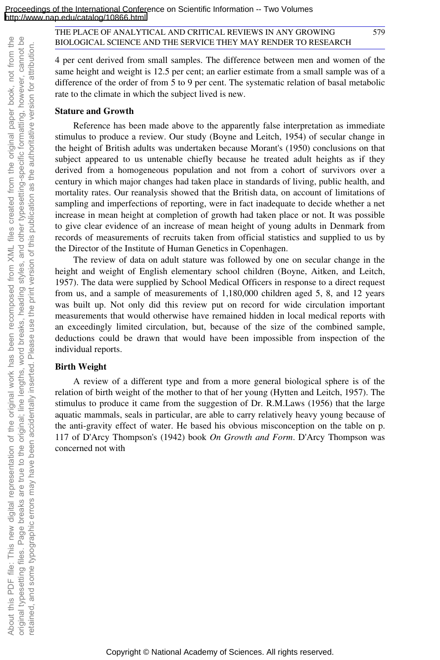4 per cent derived from small samples. The difference between men and women of the same height and weight is 12.5 per cent; an earlier estimate from a small sample was of a difference of the order of from 5 to 9 per cent. The systematic relation of basal metabolic rate to the climate in which the subject lived is new.

#### **Stature and Growth**

Reference has been made above to the apparently false interpretation as immediate stimulus to produce a review. Our study (Boyne and Leitch, 1954) of secular change in the height of British adults was undertaken because Morant's (1950) conclusions on that subject appeared to us untenable chiefly because he treated adult heights as if they derived from a homogeneous population and not from a cohort of survivors over a century in which major changes had taken place in standards of living, public health, and mortality rates. Our reanalysis showed that the British data, on account of limitations of sampling and imperfections of reporting, were in fact inadequate to decide whether a net increase in mean height at completion of growth had taken place or not. It was possible to give clear evidence of an increase of mean height of young adults in Denmark from records of measurements of recruits taken from official statistics and supplied to us by the Director of the Institute of Human Genetics in Copenhagen.

The review of data on adult stature was followed by one on secular change in the height and weight of English elementary school children (Boyne, Aitken, and Leitch, 1957). The data were supplied by School Medical Officers in response to a direct request from us, and a sample of measurements of 1,180,000 children aged 5, 8, and 12 years was built up. Not only did this review put on record for wide circulation important measurements that would otherwise have remained hidden in local medical reports with an exceedingly limited circulation, but, because of the size of the combined sample, deductions could be drawn that would have been impossible from inspection of the individual reports.

#### **Birth Weight**

A review of a different type and from a more general biological sphere is of the relation of birth weight of the mother to that of her young (Hytten and Leitch, 1957). The stimulus to produce it came from the suggestion of Dr. R.M.Laws (1956) that the large aquatic mammals, seals in particular, are able to carry relatively heavy young because of the anti-gravity effect of water. He based his obvious misconception on the table on p. 117 of D'Arcy Thompson's (1942) book *On Growth and Form*. D'Arcy Thompson was concerned not with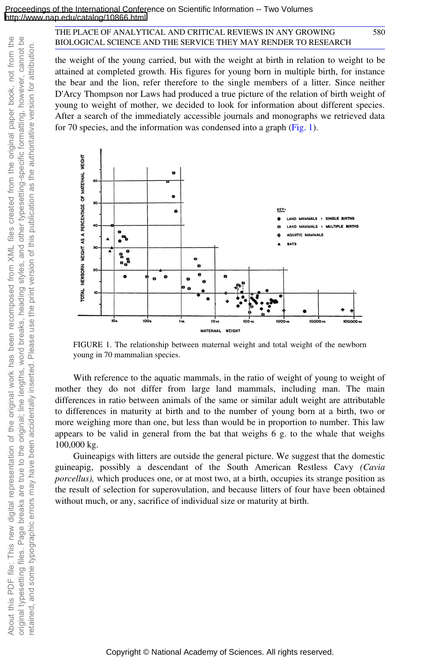the weight of the young carried, but with the weight at birth in relation to weight to be attained at completed growth. His figures for young born in multiple birth, for instance the bear and the lion, refer therefore to the single members of a litter. Since neither D'Arcy Thompson nor Laws had produced a true picture of the relation of birth weight of young to weight of mother, we decided to look for information about different species. After a search of the immediately accessible journals and monographs we retrieved data for 70 species, and the information was condensed into a graph (Fig. 1).

580



FIGURE 1. The relationship between maternal weight and total weight of the newborn young in 70 mammalian species.

With reference to the aquatic mammals, in the ratio of weight of young to weight of mother they do not differ from large land mammals, including man. The main differences in ratio between animals of the same or similar adult weight are attributable to differences in maturity at birth and to the number of young born at a birth, two or more weighing more than one, but less than would be in proportion to number. This law appears to be valid in general from the bat that weighs 6 g. to the whale that weighs 100,000 kg.

Guineapigs with litters are outside the general picture. We suggest that the domestic guineapig, possibly a descendant of the South American Restless Cavy *(Cavia porcellus),* which produces one, or at most two, at a birth, occupies its strange position as the result of selection for superovulation, and because litters of four have been obtained without much, or any, sacrifice of individual size or maturity at birth.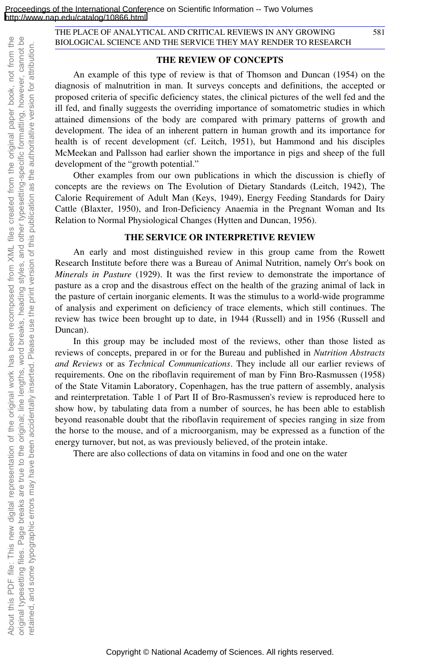#### **THE REVIEW OF CONCEPTS**

An example of this type of review is that of Thomson and Duncan (1954) on the diagnosis of malnutrition in man. It surveys concepts and definitions, the accepted or proposed criteria of specific deficiency states, the clinical pictures of the well fed and the ill fed, and finally suggests the overriding importance of somatometric studies in which attained dimensions of the body are compared with primary patterns of growth and development. The idea of an inherent pattern in human growth and its importance for health is of recent development (cf. Leitch, 1951), but Hammond and his disciples McMeekan and Pallsson had earlier shown the importance in pigs and sheep of the full development of the "growth potential."

Other examples from our own publications in which the discussion is chiefly of concepts are the reviews on The Evolution of Dietary Standards (Leitch, 1942), The Calorie Requirement of Adult Man (Keys, 1949), Energy Feeding Standards for Dairy Cattle (Blaxter, 1950), and Iron-Deficiency Anaemia in the Pregnant Woman and Its Relation to Normal Physiological Changes (Hytten and Duncan, 1956).

#### **THE SERVICE OR INTERPRETIVE REVIEW**

An early and most distinguished review in this group came from the Rowett Research Institute before there was a Bureau of Animal Nutrition, namely Orr's book on *Minerals in Pasture* (1929). It was the first review to demonstrate the importance of pasture as a crop and the disastrous effect on the health of the grazing animal of lack in the pasture of certain inorganic elements. It was the stimulus to a world-wide programme of analysis and experiment on deficiency of trace elements, which still continues. The review has twice been brought up to date, in 1944 (Russell) and in 1956 (Russell and Duncan).

In this group may be included most of the reviews, other than those listed as reviews of concepts, prepared in or for the Bureau and published in *Nutrition Abstracts and Reviews* or as *Technical Communications*. They include all our earlier reviews of requirements. One on the riboflavin requirement of man by Finn Bro-Rasmussen (1958) of the State Vitamin Laboratory, Copenhagen, has the true pattern of assembly, analysis and reinterpretation. Table 1 of Part II of Bro-Rasmussen's review is reproduced here to show how, by tabulating data from a number of sources, he has been able to establish beyond reasonable doubt that the riboflavin requirement of species ranging in size from the horse to the mouse, and of a microorganism, may be expressed as a function of the energy turnover, but not, as was previously believed, of the protein intake.

There are also collections of data on vitamins in food and one on the water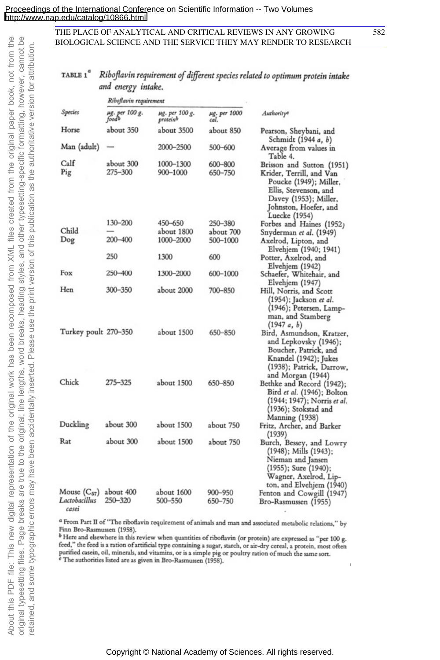#### TABLE 1<sup>a</sup> Riboflavin requirement of different species related to optimum protein intake and energy intake.

|                                           | Riboflavin requirement  |                            |                      |                                                                                                                                                                             |
|-------------------------------------------|-------------------------|----------------------------|----------------------|-----------------------------------------------------------------------------------------------------------------------------------------------------------------------------|
| Species                                   | µg. per 100 g.<br>foodb | µg. per 100 g.<br>proteinb | µg. per 1000<br>cal. | Authorityc                                                                                                                                                                  |
| Horse                                     | about 350               | about 3500                 | about 850            | Pearson, Sheybani, and<br>Schmidt (1944 a, b)                                                                                                                               |
| Man (adult)                               |                         | 2000–2500                  | 500-600              | Average from values in<br>Table 4.                                                                                                                                          |
| Calf<br>Pig                               | about 300<br>275-300    | 1000-1300<br>900-1000      | 600-800<br>650-750   | Brisson and Sutton (1951)<br>Krider, Terrill, and Van<br>Poucke (1949); Miller,<br>Ellis, Stevenson, and<br>Davey (1953); Miller,<br>Johnston, Hoefer, and<br>Luecke (1954) |
|                                           | 130-200                 | 450-650                    | 250–380              | Forbes and Haines (1952)                                                                                                                                                    |
| Child                                     |                         | about 1800                 | about 700            | Snyderman et al. (1949)                                                                                                                                                     |
| Dog                                       | 200-400                 | 1000-2000                  | 500–1000             | Axelrod, Lipton, and<br>Elvehjem (1940; 1941)                                                                                                                               |
|                                           | 250                     | 1300                       | 600                  | Potter, Axelrod, and<br>Elvehjem (1942)                                                                                                                                     |
| Fox                                       | 250–400                 | 1300-2000                  | 600-1000             | Schaefer, Whitehair, and<br>Elvehjem (1947)                                                                                                                                 |
| Hen                                       | 300–350                 | about 2000                 | 700-850              | Hill, Norris, and Scott<br>(1954); Jackson et al.<br>(1946); Petersen, Lamp-<br>man, and Stamberg<br>(1947a, b)                                                             |
| Turkey poult 270–350                      |                         | about 1500                 | 650-850              | Bird, Asmundson, Kratzer,<br>and Lepkovsky (1946);<br>Boucher, Patrick, and<br>Knandel (1942); Jukes<br>(1938); Patrick, Darrow,<br>and Morgan (1944)                       |
| Chick                                     | 275-325                 | about 1500                 | 650-850              | Bethke and Record (1942);<br>Bird et al. (1946); Bolton<br>(1944; 1947); Norris et al.<br>(1936); Stokstad and<br>Manning (1938)                                            |
| Duckling                                  | about 300               | about 1500                 | about 750            | Fritz, Archer, and Barker<br>(1939)                                                                                                                                         |
| Rat                                       | about 300               | about 1500                 | about 750            | Burch, Bessey, and Lowry<br>(1948); Mills (1943);<br>Nieman and Jansen<br>(1955); Sure (1940);<br>Wagner, Axelrod, Lip-<br>ton, and Elvehjem (1940)                         |
| Mouse $(C_{57})$<br>Lactobacillus<br>raca | about 400<br>250–320    | about 1600<br>500-550      | 900-950<br>650-750   | Fenton and Cowgill (1947)<br>Bro-Rasmussen (1955)                                                                                                                           |

<sup>a</sup> From Part II of "The riboflavin requirement of animals and man and associated metabolic relations," by Finn Bro-Rasmussen (1958).

<sup>b</sup> Here and elsewhere in this review when quantities of riboflavin (or protein) are expressed as "per 100 g. feed," the feed is a ration of artificial type containing a sugar, starch, or air-dry cereal, a protein, most often purified casein, oil, minerals, and vitamins, or is a simple pig or poultry ration of much the same sort.<br>For the authorities listed are as given in Bro-Rasmussen (1958).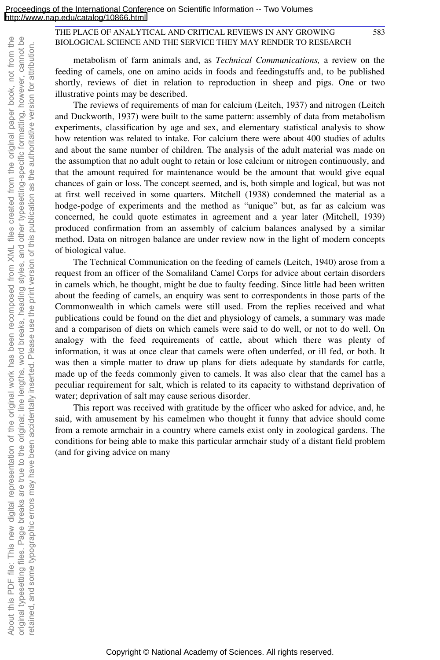583

metabolism of farm animals and, as *Technical Communications,* a review on the feeding of camels, one on amino acids in foods and feedingstuffs and, to be published shortly, reviews of diet in relation to reproduction in sheep and pigs. One or two illustrative points may be described.

The reviews of requirements of man for calcium (Leitch, 1937) and nitrogen (Leitch and Duckworth, 1937) were built to the same pattern: assembly of data from metabolism experiments, classification by age and sex, and elementary statistical analysis to show how retention was related to intake. For calcium there were about 400 studies of adults and about the same number of children. The analysis of the adult material was made on the assumption that no adult ought to retain or lose calcium or nitrogen continuously, and that the amount required for maintenance would be the amount that would give equal chances of gain or loss. The concept seemed, and is, both simple and logical, but was not at first well received in some quarters. Mitchell (1938) condemned the material as a hodge-podge of experiments and the method as "unique" but, as far as calcium was concerned, he could quote estimates in agreement and a year later (Mitchell, 1939) produced confirmation from an assembly of calcium balances analysed by a similar method. Data on nitrogen balance are under review now in the light of modern concepts of biological value.

The Technical Communication on the feeding of camels (Leitch, 1940) arose from a request from an officer of the Somaliland Camel Corps for advice about certain disorders in camels which, he thought, might be due to faulty feeding. Since little had been written about the feeding of camels, an enquiry was sent to correspondents in those parts of the Commonwealth in which camels were still used. From the replies received and what publications could be found on the diet and physiology of camels, a summary was made and a comparison of diets on which camels were said to do well, or not to do well. On analogy with the feed requirements of cattle, about which there was plenty of information, it was at once clear that camels were often underfed, or ill fed, or both. It was then a simple matter to draw up plans for diets adequate by standards for cattle, made up of the feeds commonly given to camels. It was also clear that the camel has a peculiar requirement for salt, which is related to its capacity to withstand deprivation of water; deprivation of salt may cause serious disorder.

This report was received with gratitude by the officer who asked for advice, and, he said, with amusement by his camelmen who thought it funny that advice should come from a remote armchair in a country where camels exist only in zoological gardens. The conditions for being able to make this particular armchair study of a distant field problem (and for giving advice on many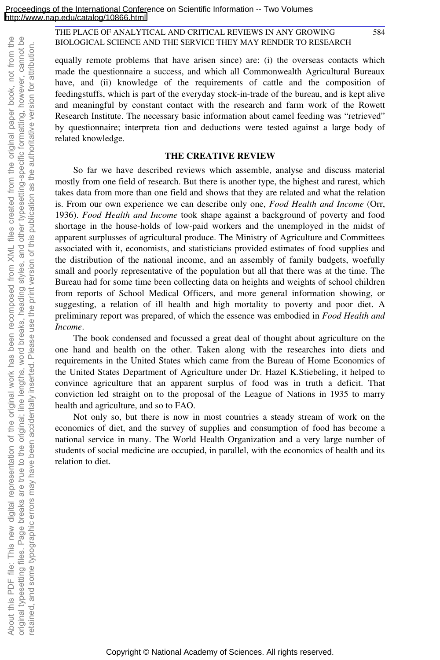About this PDF file: This new digital representation of the original work has been recomposed from XML files created from the original paper book, not from the original typesetting files. Page breaks are true to the original; line lengths, word breaks, heading styles, and other typesetting-specific formatting, however, cannot be retained, and some typographic errors may have been accidentally inserted. Please use the print version of this publication as the authoritative version for attribution.

About this PDF file: This new digital representation of the original work has been recomposed

from XML files created

original typesetting files. Page breaks are true to the original; line lengths, word breaks, heading styles, and other typesetting-specific formatting, however, cannot be retained, and some typographic errors may have been accidentally inserted. Please use the print version of this publication as the authoritative version for attribution

the

from the original paper book, not from

#### THE PLACE OF ANALYTICAL AND CRITICAL REVIEWS IN ANY GROWING BIOLOGICAL SCIENCE AND THE SERVICE THEY MAY RENDER TO RESEARCH

equally remote problems that have arisen since) are: (i) the overseas contacts which made the questionnaire a success, and which all Commonwealth Agricultural Bureaux have, and (ii) knowledge of the requirements of cattle and the composition of feedingstuffs, which is part of the everyday stock-in-trade of the bureau, and is kept alive and meaningful by constant contact with the research and farm work of the Rowett Research Institute. The necessary basic information about camel feeding was "retrieved" by questionnaire; interpreta tion and deductions were tested against a large body of related knowledge.

584

#### **THE CREATIVE REVIEW**

So far we have described reviews which assemble, analyse and discuss material mostly from one field of research. But there is another type, the highest and rarest, which takes data from more than one field and shows that they are related and what the relation is. From our own experience we can describe only one, *Food Health and Income* (Orr, 1936). *Food Health and Income* took shape against a background of poverty and food shortage in the house-holds of low-paid workers and the unemployed in the midst of apparent surplusses of agricultural produce. The Ministry of Agriculture and Committees associated with it, economists, and statisticians provided estimates of food supplies and the distribution of the national income, and an assembly of family budgets, woefully small and poorly representative of the population but all that there was at the time. The Bureau had for some time been collecting data on heights and weights of school children from reports of School Medical Officers, and more general information showing, or suggesting, a relation of ill health and high mortality to poverty and poor diet. A preliminary report was prepared, of which the essence was embodied in *Food Health and Income*.

The book condensed and focussed a great deal of thought about agriculture on the one hand and health on the other. Taken along with the researches into diets and requirements in the United States which came from the Bureau of Home Economics of the United States Department of Agriculture under Dr. Hazel K.Stiebeling, it helped to convince agriculture that an apparent surplus of food was in truth a deficit. That conviction led straight on to the proposal of the League of Nations in 1935 to marry health and agriculture, and so to FAO.

Not only so, but there is now in most countries a steady stream of work on the economics of diet, and the survey of supplies and consumption of food has become a national service in many. The World Health Organization and a very large number of students of social medicine are occupied, in parallel, with the economics of health and its relation to diet.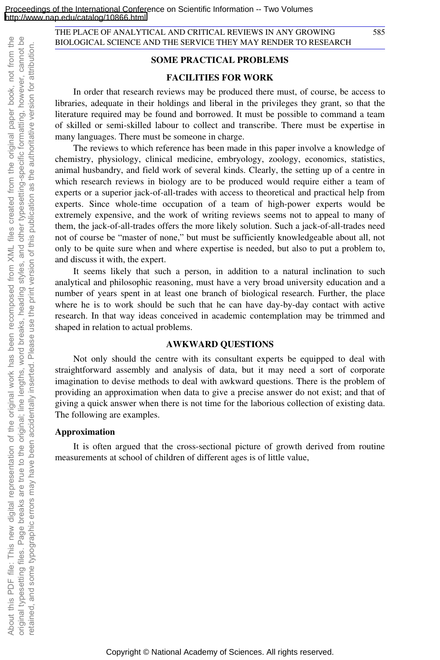#### **SOME PRACTICAL PROBLEMS**

#### **FACILITIES FOR WORK**

In order that research reviews may be produced there must, of course, be access to libraries, adequate in their holdings and liberal in the privileges they grant, so that the literature required may be found and borrowed. It must be possible to command a team of skilled or semi-skilled labour to collect and transcribe. There must be expertise in many languages. There must be someone in charge.

The reviews to which reference has been made in this paper involve a knowledge of chemistry, physiology, clinical medicine, embryology, zoology, economics, statistics, animal husbandry, and field work of several kinds. Clearly, the setting up of a centre in which research reviews in biology are to be produced would require either a team of experts or a superior jack-of-all-trades with access to theoretical and practical help from experts. Since whole-time occupation of a team of high-power experts would be extremely expensive, and the work of writing reviews seems not to appeal to many of them, the jack-of-all-trades offers the more likely solution. Such a jack-of-all-trades need not of course be "master of none," but must be sufficiently knowledgeable about all, not only to be quite sure when and where expertise is needed, but also to put a problem to, and discuss it with, the expert.

It seems likely that such a person, in addition to a natural inclination to such analytical and philosophic reasoning, must have a very broad university education and a number of years spent in at least one branch of biological research. Further, the place where he is to work should be such that he can have day-by-day contact with active research. In that way ideas conceived in academic contemplation may be trimmed and shaped in relation to actual problems.

#### **AWKWARD QUESTIONS**

Not only should the centre with its consultant experts be equipped to deal with straightforward assembly and analysis of data, but it may need a sort of corporate imagination to devise methods to deal with awkward questions. There is the problem of providing an approximation when data to give a precise answer do not exist; and that of giving a quick answer when there is not time for the laborious collection of existing data. The following are examples.

#### **Approximation**

It is often argued that the cross-sectional picture of growth derived from routine measurements at school of children of different ages is of little value,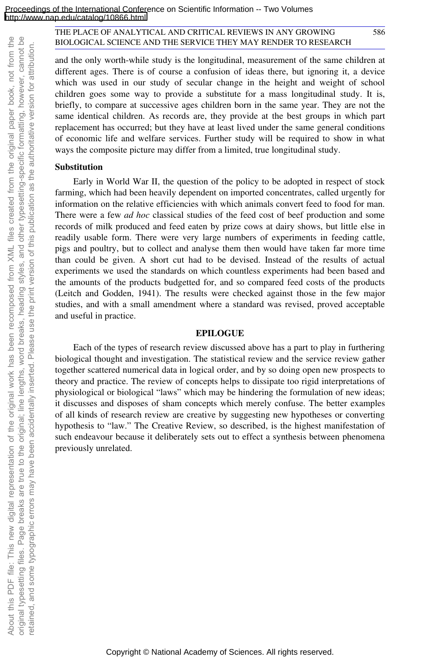and the only worth-while study is the longitudinal, measurement of the same children at different ages. There is of course a confusion of ideas there, but ignoring it, a device which was used in our study of secular change in the height and weight of school children goes some way to provide a substitute for a mass longitudinal study. It is, briefly, to compare at successive ages children born in the same year. They are not the same identical children. As records are, they provide at the best groups in which part replacement has occurred; but they have at least lived under the same general conditions of economic life and welfare services. Further study will be required to show in what ways the composite picture may differ from a limited, true longitudinal study.

#### **Substitution**

Early in World War II, the question of the policy to be adopted in respect of stock farming, which had been heavily dependent on imported concentrates, called urgently for information on the relative efficiencies with which animals convert feed to food for man. There were a few *ad hoc* classical studies of the feed cost of beef production and some records of milk produced and feed eaten by prize cows at dairy shows, but little else in readily usable form. There were very large numbers of experiments in feeding cattle, pigs and poultry, but to collect and analyse them then would have taken far more time than could be given. A short cut had to be devised. Instead of the results of actual experiments we used the standards on which countless experiments had been based and the amounts of the products budgetted for, and so compared feed costs of the products (Leitch and Godden, 1941). The results were checked against those in the few major studies, and with a small amendment where a standard was revised, proved acceptable and useful in practice.

#### **EPILOGUE**

Each of the types of research review discussed above has a part to play in furthering biological thought and investigation. The statistical review and the service review gather together scattered numerical data in logical order, and by so doing open new prospects to theory and practice. The review of concepts helps to dissipate too rigid interpretations of physiological or biological "laws" which may be hindering the formulation of new ideas; it discusses and disposes of sham concepts which merely confuse. The better examples of all kinds of research review are creative by suggesting new hypotheses or converting hypothesis to "law." The Creative Review, so described, is the highest manifestation of such endeavour because it deliberately sets out to effect a synthesis between phenomena previously unrelated.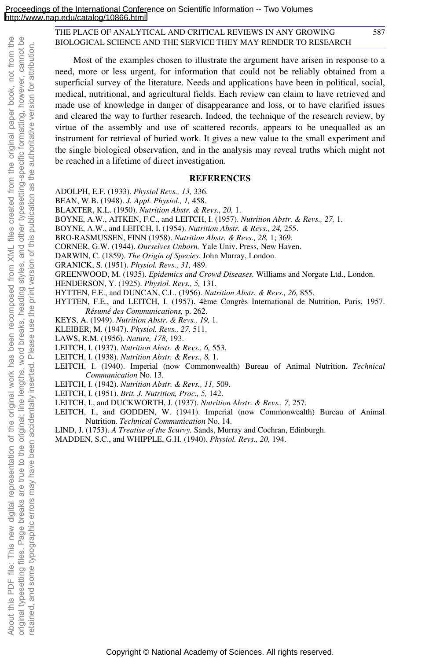Most of the examples chosen to illustrate the argument have arisen in response to a need, more or less urgent, for information that could not be reliably obtained from a superficial survey of the literature. Needs and applications have been in political, social, medical, nutritional, and agricultural fields. Each review can claim to have retrieved and made use of knowledge in danger of disappearance and loss, or to have clarified issues and cleared the way to further research. Indeed, the technique of the research review, by virtue of the assembly and use of scattered records, appears to be unequalled as an instrument for retrieval of buried work. It gives a new value to the small experiment and the single biological observation, and in the analysis may reveal truths which might not be reached in a lifetime of direct investigation.

#### **REFERENCES**

- ADOLPH, E.F. (1933). *Physiol Revs., 13,* 336.
- BEAN, W.B. (1948). *J. Appl. Physiol., 1,* 458.
- BLAXTER, K.L. (1950). *Nutrition Abstr. & Revs., 20,* 1.
- BOYNE, A.W., AITKEN, F.C., and LEITCH, I. (1957). *Nutrition Abstr. & Revs., 27,* 1.
- BOYNE, A.W., and LEITCH, I. (1954). *Nutrition Abstr. & Revs., 24,* 255.
- BRO-RASMUSSEN, FINN (1958). *Nutrition Abstr. & Revs., 28,* 1; 369.
- CORNER, G.W. (1944). *Ourselves Unborn.* Yale Univ. Press, New Haven.
- DARWIN, C. (1859). *The Origin of Species.* John Murray, London.
- GRANICK, S. (1951). *Physiol. Revs., 31,* 489.
- GREENWOOD, M. (1935). *Epidemics and Crowd Diseases.* Williams and Norgate Ltd., London.
- HENDERSON, Y. (1925). *Physiol. Revs., 5,* 131.
- HYTTEN, F.E., and DUNCAN, C.L. (1956). *Nutrition Abstr. & Revs., 26,* 855.
- HYTTEN, F.E., and LEITCH, I. (1957). 4ème Congrès International de Nutrition, Paris, 1957. *Résumé des Communications,* p. 262.
- KEYS, A. (1949). *Nutrition Abstr. & Revs., 19,* 1.
- KLEIBER, M. (1947). *Physiol. Revs., 27,* 511.
- LAWS, R.M. (1956). *Nature, 178,* 193.

About this PDF file: This new digital representation of the original work has been recomposed from XML files created from the original paper book, not from the original typesetting files. Page breaks are true to the original; line lengths, word breaks, heading styles, and other typesetting-specific formatting, however, cannot be retained, and some typographic errors may have been accidentally inserted. Please use the print version of this publication as the authoritative version for attribution.

About this PDF file: This new digital representation of the original work has been recomposed

retained, and some typographic errors may have been accidentally inserted. Please use

from XML files created

original typesetting files. Page breaks are true to the original; line lengths, word breaks, heading styles, and other typesetting-specific formatting, however, cannot be

the

from the original paper book, not from the

print version of this publication as the authoritative version for attribution

- LEITCH, I. (1937). *Nutrition Abstr. & Revs., 6,* 553.
- LEITCH, I. (1938). *Nutrition Abstr. & Revs., 8,* 1.
- LEITCH, I. (1940). Imperial (now Commonwealth) Bureau of Animal Nutrition. *Technical Communication* No. 13.
- LEITCH, I. (1942). *Nutrition Abstr. & Revs., 11,* 509.
- LEITCH, I. (1951). *Brit. J. Nutrition, Proc., 5,* 142.
- LEITCH, I., and DUCKWORTH, J. (1937). *Nutrition Abstr. & Revs., 7,* 257.
- LEITCH, I., and GODDEN, W. (1941). Imperial (now Commonwealth) Bureau of Animal Nutrition. *Technical Communication* No. 14.
- LIND, J. (1753). *A Treatise of the Scurvy.* Sands, Murray and Cochran, Edinburgh.
- MADDEN, S.C., and WHIPPLE, G.H. (1940). *Physiol. Revs., 20,* 194.